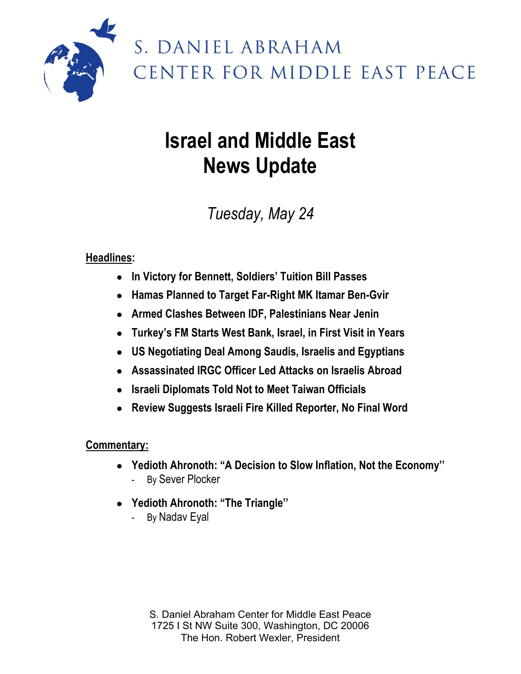

# S. DANIEL ABRAHAM CENTER FOR MIDDLE EAST PEACE

# **Israel and Middle East News Update**

# *Tuesday, May 24*

#### **Headlines:**

- **In Victory for Bennett, Soldiers' Tuition Bill Passes**
- **Hamas Planned to Target Far-Right MK Itamar Ben-Gvir**
- **Armed Clashes Between IDF, Palestinians Near Jenin**
- **Turkey's FM Starts West Bank, Israel, in First Visit in Years**
- **US Negotiating Deal Among Saudis, Israelis and Egyptians**
- **Assassinated IRGC Officer Led Attacks on Israelis Abroad**
- **Israeli Diplomats Told Not to Meet Taiwan Officials**
- **Review Suggests Israeli Fire Killed Reporter, No Final Word**

#### **Commentary:**

- **Yedioth Ahronoth: "A Decision to Slow Inflation, Not the Economy''** - By Sever Plocker
- **Yedioth Ahronoth: "The Triangle''**
	- By Nadav Eyal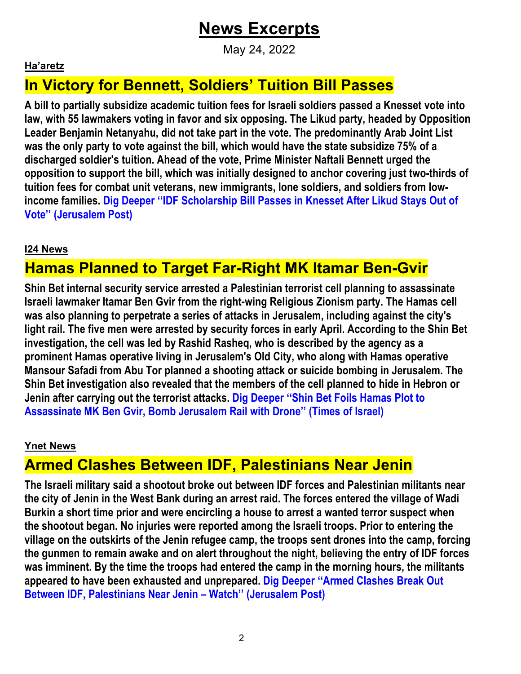# **News Excerpts**

May 24, 2022

#### **Ha'aretz**

## **In Victory for Bennett, Soldiers' Tuition Bill Passes**

**A bill to partially subsidize academic tuition fees for Israeli soldiers passed a Knesset vote into law, with 55 lawmakers voting in favor and six opposing. The Likud party, headed by Opposition Leader Benjamin Netanyahu, did not take part in the vote. The predominantly Arab Joint List was the only party to vote against the bill, which would have the state subsidize 75% of a discharged soldier's tuition. Ahead of the vote, Prime Minister Naftali Bennett urged the opposition to support the bill, which was initially designed to anchor covering just two-thirds of tuition fees for combat unit veterans, new immigrants, lone soldiers, and soldiers from lowincome families. Dig Deeper ''IDF Scholarship Bill Passes in Knesset After Likud Stays Out of Vote'' (Jerusalem Post)**

#### **I24 News**

## **Hamas Planned to Target Far-Right MK Itamar Ben-Gvir**

**Shin Bet internal security service arrested a Palestinian terrorist cell planning to assassinate Israeli lawmaker Itamar Ben Gvir from the right-wing Religious Zionism party. The Hamas cell was also planning to perpetrate a series of attacks in Jerusalem, including against the city's light rail. The five men were arrested by security forces in early April. According to the Shin Bet investigation, the cell was led by Rashid Rasheq, who is described by the agency as a prominent Hamas operative living in Jerusalem's Old City, who along with Hamas operative Mansour Safadi from Abu Tor planned a shooting attack or suicide bombing in Jerusalem. The Shin Bet investigation also revealed that the members of the cell planned to hide in Hebron or Jenin after carrying out the terrorist attacks. Dig Deeper ''Shin Bet Foils Hamas Plot to Assassinate MK Ben Gvir, Bomb Jerusalem Rail with Drone'' (Times of Israel)**

#### **Ynet News**

# **Armed Clashes Between IDF, Palestinians Near Jenin**

**The Israeli military said a shootout broke out between IDF forces and Palestinian militants near the city of Jenin in the West Bank during an arrest raid. The forces entered the village of Wadi Burkin a short time prior and were encircling a house to arrest a wanted terror suspect when the shootout began. No injuries were reported among the Israeli troops. Prior to entering the village on the outskirts of the Jenin refugee camp, the troops sent drones into the camp, forcing the gunmen to remain awake and on alert throughout the night, believing the entry of IDF forces was imminent. By the time the troops had entered the camp in the morning hours, the militants appeared to have been exhausted and unprepared. Dig Deeper ''Armed Clashes Break Out Between IDF, Palestinians Near Jenin – Watch'' (Jerusalem Post)**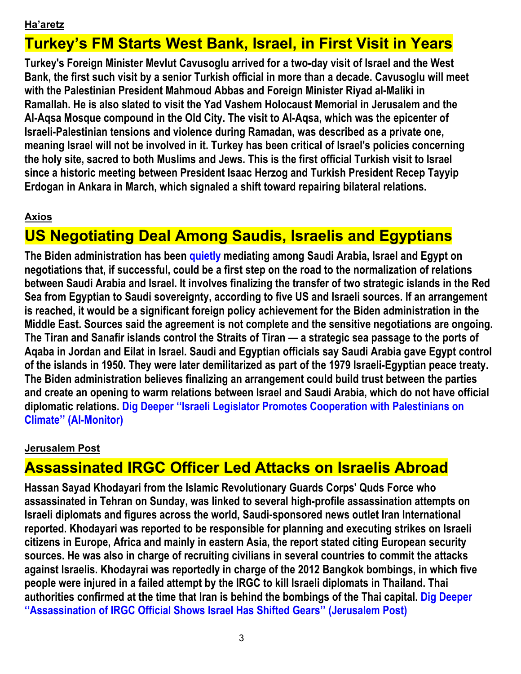#### **Ha'aretz**

# **Turkey's FM Starts West Bank, Israel, in First Visit in Years**

**Turkey's Foreign Minister Mevlut Cavusoglu arrived for a two-day visit of Israel and the West Bank, the first such visit by a senior Turkish official in more than a decade. Cavusoglu will meet with the Palestinian President Mahmoud Abbas and Foreign Minister Riyad al-Maliki in Ramallah. He is also slated to visit the Yad Vashem Holocaust Memorial in Jerusalem and the Al-Aqsa Mosque compound in the Old City. The visit to Al-Aqsa, which was the epicenter of Israeli-Palestinian tensions and violence during Ramadan, was described as a private one, meaning Israel will not be involved in it. Turkey has been critical of Israel's policies concerning the holy site, sacred to both Muslims and Jews. This is the first official Turkish visit to Israel since a historic meeting between President Isaac Herzog and Turkish President Recep Tayyip Erdogan in Ankara in March, which signaled a shift toward repairing bilateral relations.**

#### **Axios**

## **US Negotiating Deal Among Saudis, Israelis and Egyptians**

**The Biden administration has been quietly mediating among Saudi Arabia, Israel and Egypt on negotiations that, if successful, could be a first step on the road to the normalization of relations between Saudi Arabia and Israel. It involves finalizing the transfer of two strategic islands in the Red Sea from Egyptian to Saudi sovereignty, according to five US and Israeli sources. If an arrangement is reached, it would be a significant foreign policy achievement for the Biden administration in the Middle East. Sources said the agreement is not complete and the sensitive negotiations are ongoing. The Tiran and Sanafir islands control the Straits of Tiran — a strategic sea passage to the ports of Aqaba in Jordan and Eilat in Israel. Saudi and Egyptian officials say Saudi Arabia gave Egypt control of the islands in 1950. They were later demilitarized as part of the 1979 Israeli-Egyptian peace treaty. The Biden administration believes finalizing an arrangement could build trust between the parties and create an opening to warm relations between Israel and Saudi Arabia, which do not have official diplomatic relations. Dig Deeper ''Israeli Legislator Promotes Cooperation with Palestinians on Climate'' (Al-Monitor)**

#### **Jerusalem Post**

# **Assassinated IRGC Officer Led Attacks on Israelis Abroad**

**Hassan Sayad Khodayari from the Islamic Revolutionary Guards Corps' Quds Force who assassinated in Tehran on Sunday, was linked to several high-profile assassination attempts on Israeli diplomats and figures across the world, Saudi-sponsored news outlet Iran International reported. Khodayari was reported to be responsible for planning and executing strikes on Israeli citizens in Europe, Africa and mainly in eastern Asia, the report stated citing European security sources. He was also in charge of recruiting civilians in several countries to commit the attacks against Israelis. Khodayrai was reportedly in charge of the 2012 Bangkok bombings, in which five people were injured in a failed attempt by the IRGC to kill Israeli diplomats in Thailand. Thai authorities confirmed at the time that Iran is behind the bombings of the Thai capital. Dig Deeper ''Assassination of IRGC Official Shows Israel Has Shifted Gears'' (Jerusalem Post)**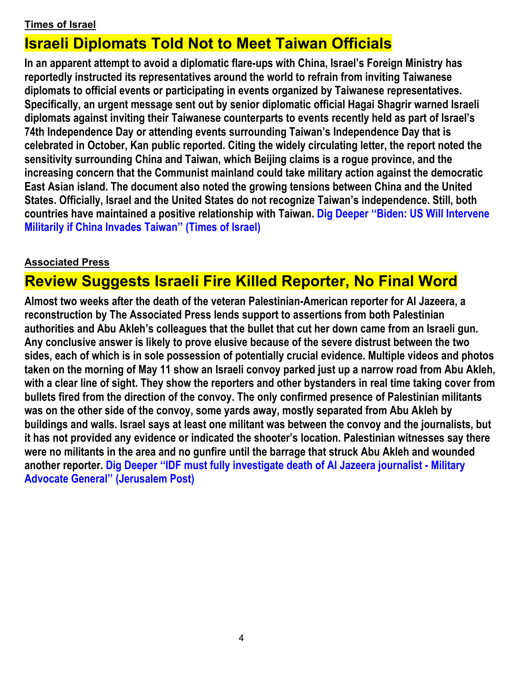#### **Times of Israel**

# **Israeli Diplomats Told Not to Meet Taiwan Officials**

**In an apparent attempt to avoid a diplomatic flare-ups with China, Israel's Foreign Ministry has reportedly instructed its representatives around the world to refrain from inviting Taiwanese diplomats to official events or participating in events organized by Taiwanese representatives. Specifically, an urgent message sent out by senior diplomatic official Hagai Shagrir warned Israeli diplomats against inviting their Taiwanese counterparts to events recently held as part of Israel's 74th Independence Day or attending events surrounding Taiwan's Independence Day that is celebrated in October, Kan public reported. Citing the widely circulating letter, the report noted the sensitivity surrounding China and Taiwan, which Beijing claims is a rogue province, and the increasing concern that the Communist mainland could take military action against the democratic East Asian island. The document also noted the growing tensions between China and the United States. Officially, Israel and the United States do not recognize Taiwan's independence. Still, both countries have maintained a positive relationship with Taiwan. Dig Deeper ''Biden: US Will Intervene Militarily if China Invades Taiwan'' (Times of Israel)**

#### **Associated Press**

# **Review Suggests Israeli Fire Killed Reporter, No Final Word**

**Almost two weeks after the death of the veteran Palestinian-American reporter for Al Jazeera, a reconstruction by The Associated Press lends support to assertions from both Palestinian authorities and Abu Akleh's colleagues that the bullet that cut her down came from an Israeli gun. Any conclusive answer is likely to prove elusive because of the severe distrust between the two sides, each of which is in sole possession of potentially crucial evidence. Multiple videos and photos taken on the morning of May 11 show an Israeli convoy parked just up a narrow road from Abu Akleh, with a clear line of sight. They show the reporters and other bystanders in real time taking cover from bullets fired from the direction of the convoy. The only confirmed presence of Palestinian militants was on the other side of the convoy, some yards away, mostly separated from Abu Akleh by buildings and walls. Israel says at least one militant was between the convoy and the journalists, but it has not provided any evidence or indicated the shooter's location. Palestinian witnesses say there were no militants in the area and no gunfire until the barrage that struck Abu Akleh and wounded another reporter. Dig Deeper ''IDF must fully investigate death of Al Jazeera journalist - Military Advocate General'' (Jerusalem Post)**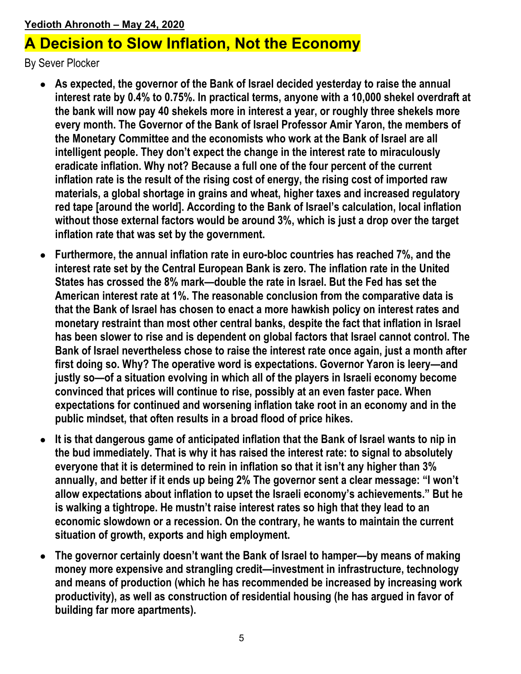# **Yedioth Ahronoth – May 24, 2020**

### **A Decision to Slow Inflation, Not the Economy**

By Sever Plocker

- **As expected, the governor of the Bank of Israel decided yesterday to raise the annual interest rate by 0.4% to 0.75%. In practical terms, anyone with a 10,000 shekel overdraft at the bank will now pay 40 shekels more in interest a year, or roughly three shekels more every month. The Governor of the Bank of Israel Professor Amir Yaron, the members of the Monetary Committee and the economists who work at the Bank of Israel are all intelligent people. They don't expect the change in the interest rate to miraculously eradicate inflation. Why not? Because a full one of the four percent of the current inflation rate is the result of the rising cost of energy, the rising cost of imported raw materials, a global shortage in grains and wheat, higher taxes and increased regulatory red tape [around the world]. According to the Bank of Israel's calculation, local inflation without those external factors would be around 3%, which is just a drop over the target inflation rate that was set by the government.**
- **Furthermore, the annual inflation rate in euro-bloc countries has reached 7%, and the interest rate set by the Central European Bank is zero. The inflation rate in the United States has crossed the 8% mark—double the rate in Israel. But the Fed has set the American interest rate at 1%. The reasonable conclusion from the comparative data is that the Bank of Israel has chosen to enact a more hawkish policy on interest rates and monetary restraint than most other central banks, despite the fact that inflation in Israel has been slower to rise and is dependent on global factors that Israel cannot control. The Bank of Israel nevertheless chose to raise the interest rate once again, just a month after first doing so. Why? The operative word is expectations. Governor Yaron is leery—and justly so—of a situation evolving in which all of the players in Israeli economy become convinced that prices will continue to rise, possibly at an even faster pace. When expectations for continued and worsening inflation take root in an economy and in the public mindset, that often results in a broad flood of price hikes.**
- It is that dangerous game of anticipated inflation that the Bank of Israel wants to nip in **the bud immediately. That is why it has raised the interest rate: to signal to absolutely everyone that it is determined to rein in inflation so that it isn't any higher than 3% annually, and better if it ends up being 2% The governor sent a clear message: "I won't allow expectations about inflation to upset the Israeli economy's achievements." But he is walking a tightrope. He mustn't raise interest rates so high that they lead to an economic slowdown or a recession. On the contrary, he wants to maintain the current situation of growth, exports and high employment.**
- The governor certainly doesn't want the Bank of Israel to hamper—by means of making **money more expensive and strangling credit—investment in infrastructure, technology and means of production (which he has recommended be increased by increasing work productivity), as well as construction of residential housing (he has argued in favor of building far more apartments).**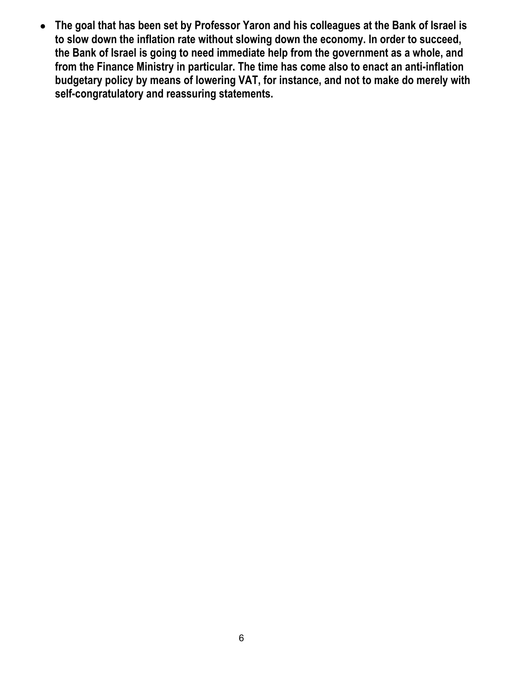● **The goal that has been set by Professor Yaron and his colleagues at the Bank of Israel is to slow down the inflation rate without slowing down the economy. In order to succeed, the Bank of Israel is going to need immediate help from the government as a whole, and from the Finance Ministry in particular. The time has come also to enact an anti-inflation budgetary policy by means of lowering VAT, for instance, and not to make do merely with self-congratulatory and reassuring statements.**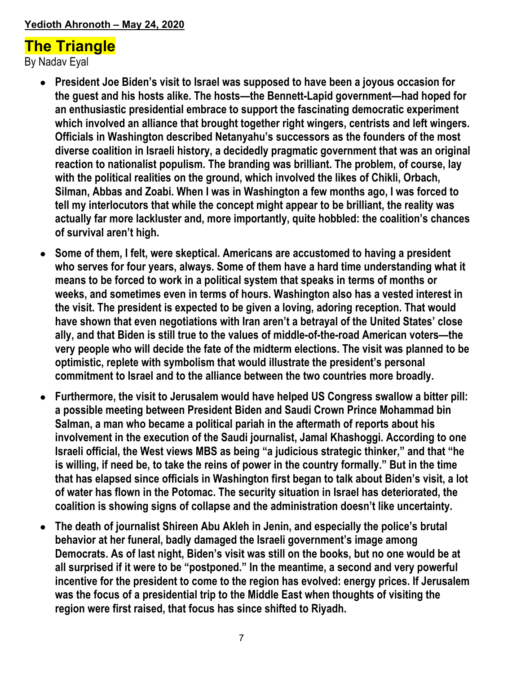#### **Yedioth Ahronoth – May 24, 2020**

### **The Triangle**

By Nadav Eyal

- **President Joe Biden's visit to Israel was supposed to have been a joyous occasion for the guest and his hosts alike. The hosts—the Bennett-Lapid government—had hoped for an enthusiastic presidential embrace to support the fascinating democratic experiment which involved an alliance that brought together right wingers, centrists and left wingers. Officials in Washington described Netanyahu's successors as the founders of the most diverse coalition in Israeli history, a decidedly pragmatic government that was an original reaction to nationalist populism. The branding was brilliant. The problem, of course, lay with the political realities on the ground, which involved the likes of Chikli, Orbach, Silman, Abbas and Zoabi. When I was in Washington a few months ago, I was forced to tell my interlocutors that while the concept might appear to be brilliant, the reality was actually far more lackluster and, more importantly, quite hobbled: the coalition's chances of survival aren't high.**
- **Some of them, I felt, were skeptical. Americans are accustomed to having a president who serves for four years, always. Some of them have a hard time understanding what it means to be forced to work in a political system that speaks in terms of months or weeks, and sometimes even in terms of hours. Washington also has a vested interest in the visit. The president is expected to be given a loving, adoring reception. That would have shown that even negotiations with Iran aren't a betrayal of the United States' close ally, and that Biden is still true to the values of middle-of-the-road American voters—the very people who will decide the fate of the midterm elections. The visit was planned to be optimistic, replete with symbolism that would illustrate the president's personal commitment to Israel and to the alliance between the two countries more broadly.**
- **Furthermore, the visit to Jerusalem would have helped US Congress swallow a bitter pill: a possible meeting between President Biden and Saudi Crown Prince Mohammad bin Salman, a man who became a political pariah in the aftermath of reports about his involvement in the execution of the Saudi journalist, Jamal Khashoggi. According to one Israeli official, the West views MBS as being "a judicious strategic thinker," and that "he is willing, if need be, to take the reins of power in the country formally." But in the time that has elapsed since officials in Washington first began to talk about Biden's visit, a lot of water has flown in the Potomac. The security situation in Israel has deteriorated, the coalition is showing signs of collapse and the administration doesn't like uncertainty.**
- **The death of journalist Shireen Abu Akleh in Jenin, and especially the police's brutal behavior at her funeral, badly damaged the Israeli government's image among Democrats. As of last night, Biden's visit was still on the books, but no one would be at all surprised if it were to be "postponed." In the meantime, a second and very powerful incentive for the president to come to the region has evolved: energy prices. If Jerusalem was the focus of a presidential trip to the Middle East when thoughts of visiting the region were first raised, that focus has since shifted to Riyadh.**